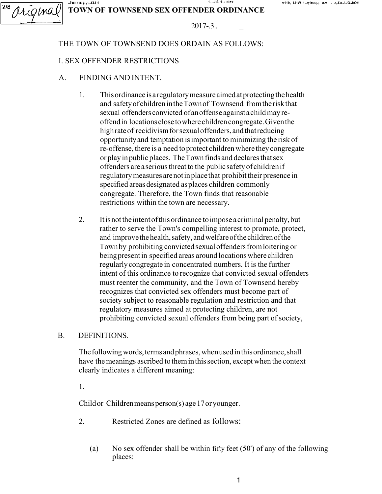#### .Jurru:;:,-,.£LI ,1 <sup>1</sup> ...J.£. 1 ..i rivr v11i:, Ll1W 1..:;1ruuµ, a.v . .:,.£u.J.JO.J/Ot1 TOWN OF TOWNSEND SEX OFFENDER ORDINANCE

| -77<br>ı s<br>۸        |  |
|------------------------|--|
| 7 J -                  |  |
| <b>STATISTICS</b><br>– |  |

# $2017 - 3$ ..

# THE TOWN OF TOWNSEND DOES ORDAIN AS FOLLOWS:

## I. SEX OFFENDER RESTRICTIONS

- A. FINDING AND INTENT.
	- 1. This ordinance is a regulatory measure aimed at protecting the health and safety of children in the Town of Townsend from the risk that sexual offenders convicted of an offense against a child may reoffend in locations close to where children congregate. Given the high rate of recidivism for sexual offenders, and that reducing opportunity and temptation is important to minimizing the risk of re-offense, there is a need to protect children where they congregate or play in public places. The Town finds and declares that sex offenders are a serious threat to the public safety of children if regulatory measures are not in place that prohibit their presence in specified areas designated as places children commonly congregate. Therefore, the Town finds that reasonable restrictions within the town are necessary.
	- 2. It is not the intent of this ordinance to impose a criminal penalty, but rather to serve the Town's compelling interest to promote, protect, and improve the health, safety, and welfare of the children of the Town by prohibiting convicted sexual offenders from loitering or being present in specified areas around locations where children regularly congregate in concentrated numbers. It is the further intent of this ordinance to recognize that convicted sexual offenders must reenter the community, and the Town of Townsend hereby recognizes that convicted sex offenders must become part of society subject to reasonable regulation and restriction and that regulatory measures aimed at protecting children, are not prohibiting convicted sexual offenders from being part of society,

#### B. DEFINITIONS.

The following words, terms and phrases, when used in this ordinance, shall have the meanings ascribed to them in this section, except when the context clearly indicates a different meaning:

1.

Child or Children means person(s) age 17 or younger.

- 2. Restricted Zones are defined as follows:
	- (a) No sex offender shall be within fifty feet  $(50')$  of any of the following places: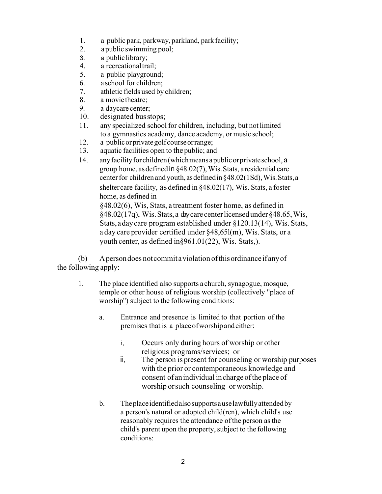- 1. a public park, parkway, parkland, park facility;
- 2. a public swimming pool;
- 3. a public library;
- 4. a recreational trail;
- 5. a public playground;
- 6. a school for children;
- 7. athletic fields used by children;
- 8. a movie theatre;
- 9. a daycare center;
- 10. designated bus stops;
- 11. any specialized school for children, including, but not limited to a gymnastics academy, dance academy, or music school;
- 12. a public or private golf course or range;
- 13. aquatic facilities open to the public; and
- 14. any facility for children (which means a public or private school, a group home, as defined in §48.02(7), Wis. Stats, a residential care center for children and youth, as defined in §48.02(1Sd), Wis. Stats, a shelter care facility, as defined in §48.02(17), Wis. Stats, a foster home, as defined in §48.02(6), Wis, Stats, a treatment foster home, as defined in

§48.02(17q), Wis. Stats, a day care center licensed under §48.65, Wis, Stats, a day care program established under §120.13(14), Wis. Stats, a day care provider certified under §48,65l(m), Wis. Stats, or a youth center, as defined in§961.01(22), Wis. Stats,).

(b) A person does not commit a violation of this ordinance if any of the following apply:

- 1. The place identified also supports a church, synagogue, mosque, temple or other house of religious worship (collectively "place of worship'') subject to the following conditions:
	- a. Entrance and presence is limited to that portion of the premises that is a place of worship and either:
		- i, Occurs only during hours of worship or other religious programs/services; or
		- ii, The person is present for counseling or worship purposes with the prior or contemporaneous knowledge and consent of an individual in charge of the place of worship or such counseling or worship.
	- b. The place identified also supports a use lawfully attended by a person's natural or adopted child(ren), which child's use reasonably requires the attendance of the person as the child's parent upon the property, subject to the following conditions: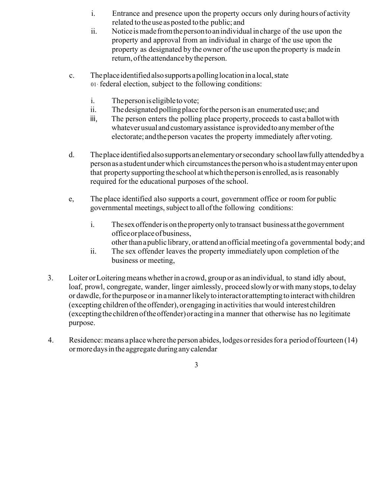- i. Entrance and presence upon the property occurs only during hours of activity related to the use as posted to the public; and
- ii. Notice is made from the person to an individual in charge of the use upon the property and approval from an individual in charge of the use upon the property as designated by the owner of the use upon the property is made in return, of the attendance by the person.
- c. The place identified also supports a polling location in a local, state 01· federal election, subject to the following conditions:
	- i. The person is eligible to vote;
	- ii. The designated polling place for the person is an enumerated use; and
	- iii, The person enters the polling place property, proceeds to cast a ballot with whatever usual and customary assistance is provided to any member of the electorate; and the person vacates the property immediately after voting.
- d. The place identified also supports an elementary or secondary school lawfully attended by a person as a student under which circumstances the person who is a student may enter upon that property supporting the school at which the person is enrolled, as is reasonably required for the educational purposes of the school.
- e, The place identified also supports a court, government office or room for public governmental meetings, subject to all of the following conditions:
	- i. The sex offender is on the property only to transact business at the government office or place of business, other than a public library, or attend an official meeting of a governmental body; and
	- ii. The sex offender leaves the property immediately upon completion of the business or meeting,
- 3. Loiter or Loitering means whether in a crowd, group or as an individual, to stand idly about, loaf, prowl, congregate, wander, linger aimlessly, proceed slowly or with many stops, to delay or dawdle, for the purpose or in a manner likely to interact or attempting to interact with children (excepting children of the offender), or engaging in activities that would interest children (excepting the children of the offender) or acting in a manner that otherwise has no legitimate purpose.
- 4. Residence: means a place where the person abides, lodges or resides for a period of fourteen (14) or more days in the aggregate during any calendar

3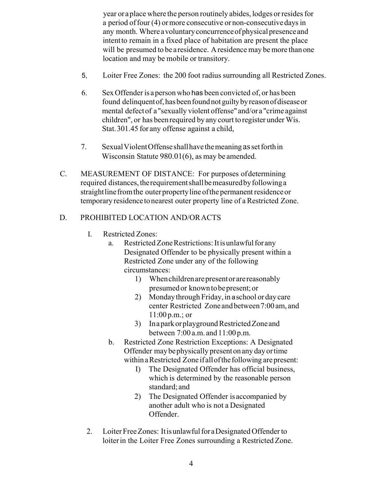year or a place where the person routinely abides, lodges or resides for a period of four (4) or more consecutive or non-consecutive days in any month. Where a voluntary concurrence of physical presence and intent to remain in a fixed place of habitation are present the place will be presumed to be a residence. A residence may be more than one location and may be mobile or transitory.

- 5, Loiter Free Zones: the 200 foot radius surrounding all Restricted Zones.
- 6. Sex Offender is a person who has been convicted of, or has been found delinquent of, has been found not guilty by reason of disease or mental defect of a "sexually violent offense" and/or a "crime against children", or has been required by any court to register under Wis. Stat. 301.45 for any offense against a child,
- 7. Sexual Violent Offense shall have the meaning as set forth in Wisconsin Statute 980.01(6), as may be amended.
- C. MEASUREMENT OF DISTANCE: For purposes of determining required distances, the requirement shall be measured by following a straight line from the outer property line of the permanent residence or temporary residence to nearest outer property line of a Restricted Zone.

# D. PROHIBITED LOCATION AND/OR ACTS

- I. Restricted Zones:
	- a. Restricted Zone Restrictions: It is unlawful for any Designated Offender to be physically present within a Restricted Zone under any of the following circumstances:
		- 1) When children are present or are reasonably presumed or known to be present; or
		- 2) Monday through Friday, in a school or day care center Restricted Zone and between 7:00 am, and 11:00 p.m.; or
		- 3) In a park or playground Restricted Zone and between 7:00 a.m. and 11:00 p.m.
	- b. Restricted Zone Restriction Exceptions: A Designated Offender may be physically present on any day or time within a Restricted Zone if all of the following are present:
		- I) The Designated Offender has official business, which is determined by the reasonable person standard; and
		- 2) The Designated Offender is accompanied by another adult who is not a Designated Offender.
- 2. Loiter Free Zones: It is unlawful for a Designated Offender to loiter in the Loiter Free Zones surrounding a Restricted Zone.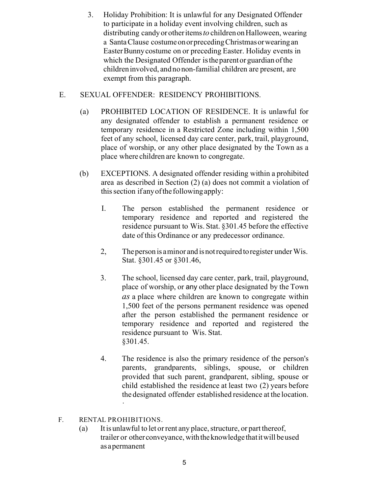3. Holiday Prohibition: It is unlawful for any Designated Offender to participate in a holiday event involving children, such as distributing candy or other items to children on Halloween, wearing a Santa Clause costume on or preceding Christmas or wearing an Easter Bunny costume on or preceding Easter. Holiday events in which the Designated Offender isthe parent or guardian of the children involved, and no non-familial children are present, are exempt from this paragraph.

# E. SEXUAL OFFENDER: RESIDENCY PROHIBITIONS.

- (a) PROHIBITED LOCATION OF RESIDENCE. It is unlawful for any designated offender to establish a permanent residence or temporary residence in a Restricted Zone including within 1,500 feet of any school, licensed day care center, park, trail, playground, place of worship, or any other place designated by the Town as a place where children are known to congregate.
- (b) EXCEPTIONS. A designated offender residing within a prohibited area as described in Section (2) (a) does not commit a violation of this section if any of the following apply:
	- I. The person established the permanent residence or temporary residence and reported and registered the residence pursuant to Wis. Stat. §301.45 before the effective date of this Ordinance or any predecessor ordinance.
	- 2, The person is a minor and is not required to register under Wis. Stat. §301.45 or §301.46,
	- 3. The school, licensed day care center, park, trail, playground, place of worship, or any other place designated by the Town as a place where children are known to congregate within 1,500 feet of the persons permanent residence was opened after the person established the permanent residence or temporary residence and reported and registered the residence pursuant to Wis. Stat. §301.45.
	- 4. The residence is also the primary residence of the person's parents, grandparents, siblings, spouse, or children provided that such parent, grandparent, sibling, spouse or child established the residence at least two (2) years before the designated offender established residence at the location. ·

#### F. RENTAL PROHIBITIONS.

(a) It is unlawful to let or rent any place, structure, or part thereof, trailer or other conveyance, with the knowledge that it will be used as a permanent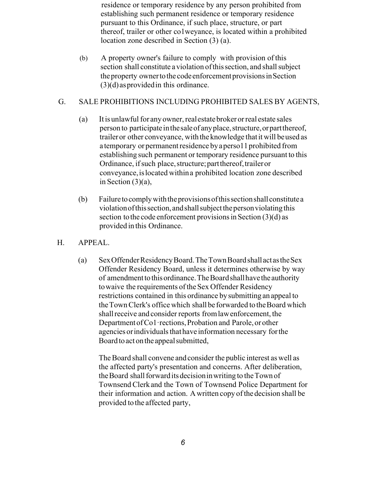residence or temporary residence by any person prohibited from establishing such permanent residence or temporary residence pursuant to this Ordinance, if such place, structure, or part thereof, trailer or other co1weyance, is located within a prohibited location zone described in Section (3) (a).

(b) A property owner's failure to comply with provision of this section shall constitute a violation of this section, and shall subject the property owner to the code enforcement provisions in Section  $(3)(d)$  as provided in this ordinance.

#### G. SALE PROHIBITIONS INCLUDING PROHIBITED SALES BY AGENTS,

- (a) It is unlawful for any owner, real estate broker or real estate sales person to participate in the sale of any place, structure, or part thereof, trailer or other conveyance, with the knowledge that it will be used as a temporary or permanent residence by a perso11 prohibited from establishing such permanent or temporary residence pursuant to this Ordinance, if such place, structure; part thereof, trailer or conveyance, is located within a prohibited location zone described in Section  $(3)(a)$ ,
- (b) Failure to comply with the provisions of this section shall constitute a violation of this section, and shall subject the person violating this section to the code enforcement provisions in Section (3)(d) as provided in this Ordinance.
- H. APPEAL.
	- (a) Sex Offender Residency Board. The Town Board shall act as the Sex Offender Residency Board, unless it determines otherwise by way of amendment to this ordinance. The Board shall have the authority to waive the requirements of the Sex Offender Residency restrictions contained in this ordinance by submitting an appeal to the Town Clerk's office which shall be forwarded to the Board which shall receive and consider reports from law enforcement, the Department of Co1·rections, Probation and Parole, or other agencies or individuals that have information necessary for the Board to act on the appeal submitted,

The Board shall convene and consider the public interest as well as the affected party's presentation and concerns. After deliberation, the Board shall forward its decision in writing to the Town of Townsend Clerk and the Town of Townsend Police Department for their information and action. A written copy of the decision shall be provided to the affected party,